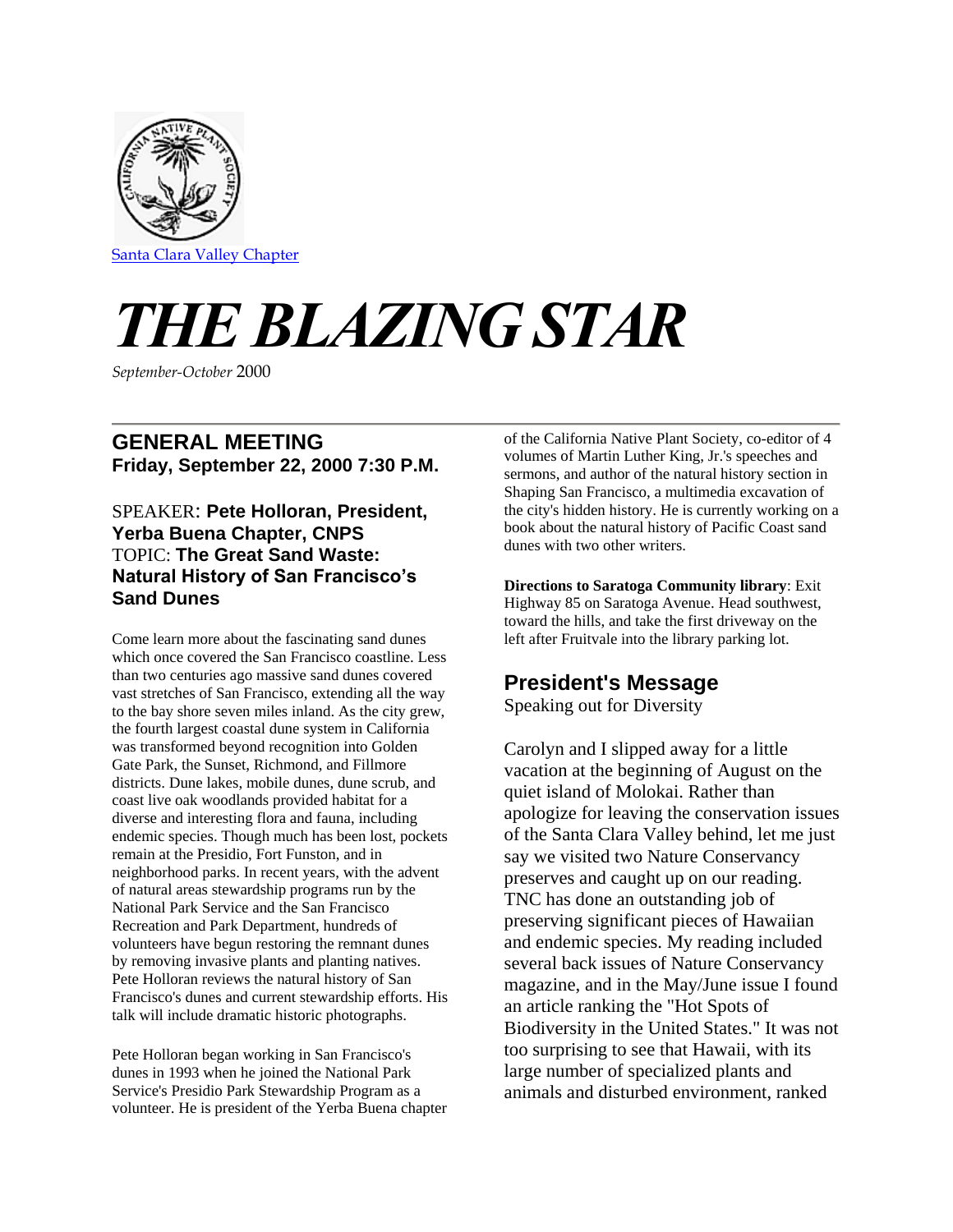

# *THE BLAZING STAR*

*September-October* 2000

### **GENERAL MEETING Friday, September 22, 2000 7:30 P.M.**

#### SPEAKER: **Pete Holloran, President, Yerba Buena Chapter, CNPS** TOPIC: **The Great Sand Waste: Natural History of San Francisco's Sand Dunes**

Come learn more about the fascinating sand dunes which once covered the San Francisco coastline. Less than two centuries ago massive sand dunes covered vast stretches of San Francisco, extending all the way to the bay shore seven miles inland. As the city grew, the fourth largest coastal dune system in California was transformed beyond recognition into Golden Gate Park, the Sunset, Richmond, and Fillmore districts. Dune lakes, mobile dunes, dune scrub, and coast live oak woodlands provided habitat for a diverse and interesting flora and fauna, including endemic species. Though much has been lost, pockets remain at the Presidio, Fort Funston, and in neighborhood parks. In recent years, with the advent of natural areas stewardship programs run by the National Park Service and the San Francisco Recreation and Park Department, hundreds of volunteers have begun restoring the remnant dunes by removing invasive plants and planting natives. Pete Holloran reviews the natural history of San Francisco's dunes and current stewardship efforts. His talk will include dramatic historic photographs.

Pete Holloran began working in San Francisco's dunes in 1993 when he joined the National Park Service's Presidio Park Stewardship Program as a volunteer. He is president of the Yerba Buena chapter of the California Native Plant Society, co-editor of 4 volumes of Martin Luther King, Jr.'s speeches and sermons, and author of the natural history section in Shaping San Francisco, a multimedia excavation of the city's hidden history. He is currently working on a book about the natural history of Pacific Coast sand dunes with two other writers.

**Directions to Saratoga Community library**: Exit Highway 85 on Saratoga Avenue. Head southwest, toward the hills, and take the first driveway on the left after Fruitvale into the library parking lot.

## **President's Message**

Speaking out for Diversity

Carolyn and I slipped away for a little vacation at the beginning of August on the quiet island of Molokai. Rather than apologize for leaving the conservation issues of the Santa Clara Valley behind, let me just say we visited two Nature Conservancy preserves and caught up on our reading. TNC has done an outstanding job of preserving significant pieces of Hawaiian and endemic species. My reading included several back issues of Nature Conservancy magazine, and in the May/June issue I found an article ranking the "Hot Spots of Biodiversity in the United States." It was not too surprising to see that Hawaii, with its large number of specialized plants and animals and disturbed environment, ranked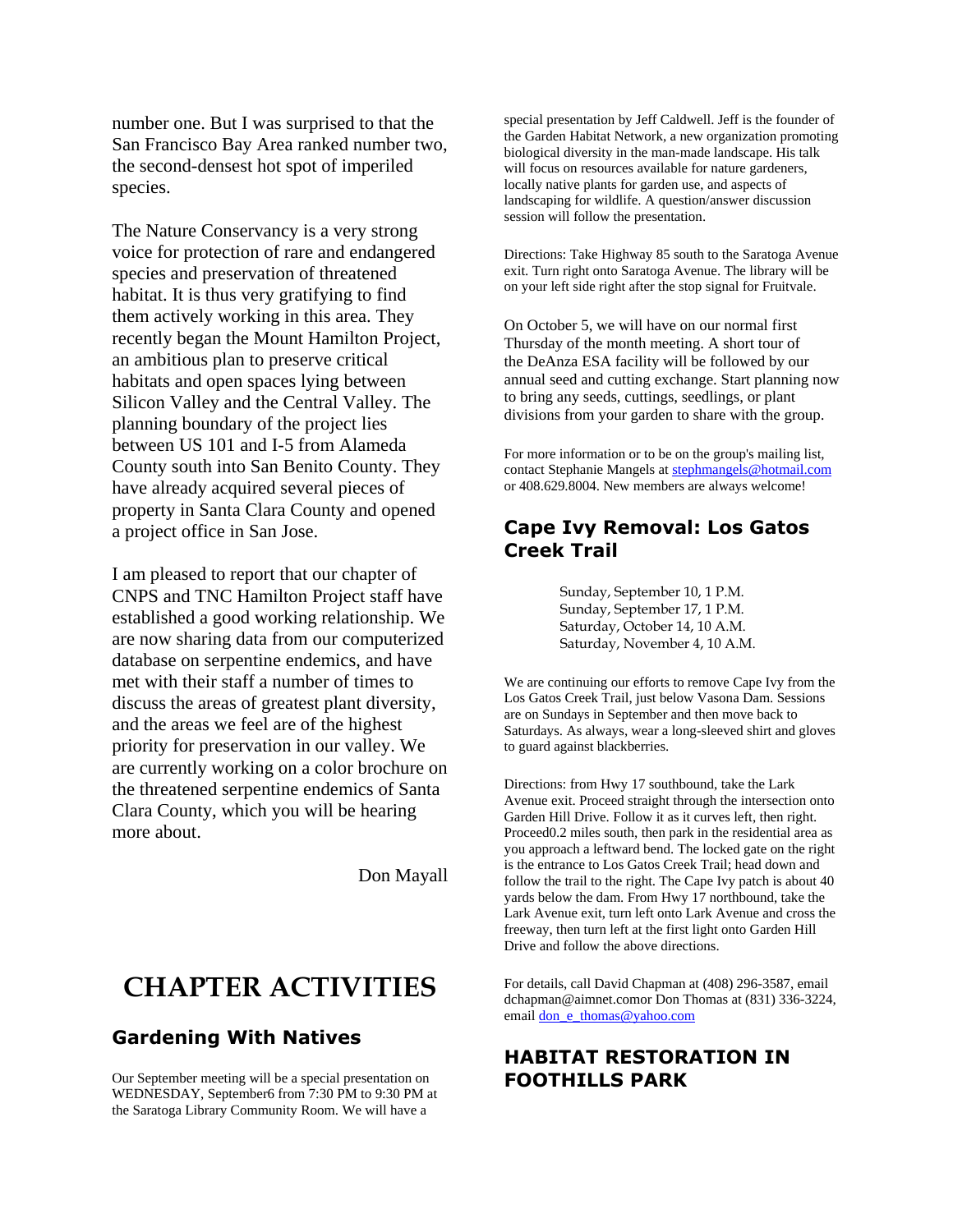number one. But I was surprised to that the San Francisco Bay Area ranked number two, the second-densest hot spot of imperiled species.

The Nature Conservancy is a very strong voice for protection of rare and endangered species and preservation of threatened habitat. It is thus very gratifying to find them actively working in this area. They recently began the Mount Hamilton Project, an ambitious plan to preserve critical habitats and open spaces lying between Silicon Valley and the Central Valley. The planning boundary of the project lies between US 101 and I-5 from Alameda County south into San Benito County. They have already acquired several pieces of property in Santa Clara County and opened a project office in San Jose.

I am pleased to report that our chapter of CNPS and TNC Hamilton Project staff have established a good working relationship. We are now sharing data from our computerized database on serpentine endemics, and have met with their staff a number of times to discuss the areas of greatest plant diversity, and the areas we feel are of the highest priority for preservation in our valley. We are currently working on a color brochure on the threatened serpentine endemics of Santa Clara County, which you will be hearing more about.

Don Mayall

# **CHAPTER ACTIVITIES**

#### **Gardening With Natives**

Our September meeting will be a special presentation on WEDNESDAY, September6 from 7:30 PM to 9:30 PM at the Saratoga Library Community Room. We will have a

special presentation by Jeff Caldwell. Jeff is the founder of the Garden Habitat Network, a new organization promoting biological diversity in the man-made landscape. His talk will focus on resources available for nature gardeners, locally native plants for garden use, and aspects of landscaping for wildlife. A question/answer discussion session will follow the presentation.

Directions: Take Highway 85 south to the Saratoga Avenue exit. Turn right onto Saratoga Avenue. The library will be on your left side right after the stop signal for Fruitvale.

On October 5, we will have on our normal first Thursday of the month meeting. A short tour of the DeAnza ESA facility will be followed by our annual seed and cutting exchange. Start planning now to bring any seeds, cuttings, seedlings, or plant divisions from your garden to share with the group.

For more information or to be on the group's mailing list, contact Stephanie Mangels at [stephmangels@hotmail.com](mailto:stephmangels@hotmail.com) or 408.629.8004. New members are always welcome!

#### **Cape Ivy Removal: Los Gatos Creek Trail**

Sunday, September 10, 1 P.M. Sunday, September 17, 1 P.M. Saturday, October 14, 10 A.M. Saturday, November 4, 10 A.M.

We are continuing our efforts to remove Cape Ivy from the Los Gatos Creek Trail, just below Vasona Dam. Sessions are on Sundays in September and then move back to Saturdays. As always, wear a long-sleeved shirt and gloves to guard against blackberries.

Directions: from Hwy 17 southbound, take the Lark Avenue exit. Proceed straight through the intersection onto Garden Hill Drive. Follow it as it curves left, then right. Proceed0.2 miles south, then park in the residential area as you approach a leftward bend. The locked gate on the right is the entrance to Los Gatos Creek Trail; head down and follow the trail to the right. The Cape Ivy patch is about 40 yards below the dam. From Hwy 17 northbound, take the Lark Avenue exit, turn left onto Lark Avenue and cross the freeway, then turn left at the first light onto Garden Hill Drive and follow the above directions.

For details, call David Chapman at (408) 296-3587, email dchapman@aimnet.comor Don Thomas at (831) 336-3224, emai[l don\\_e\\_thomas@yahoo.com](mailto:don_e_thomas@yahoo.com)

#### **HABITAT RESTORATION IN FOOTHILLS PARK**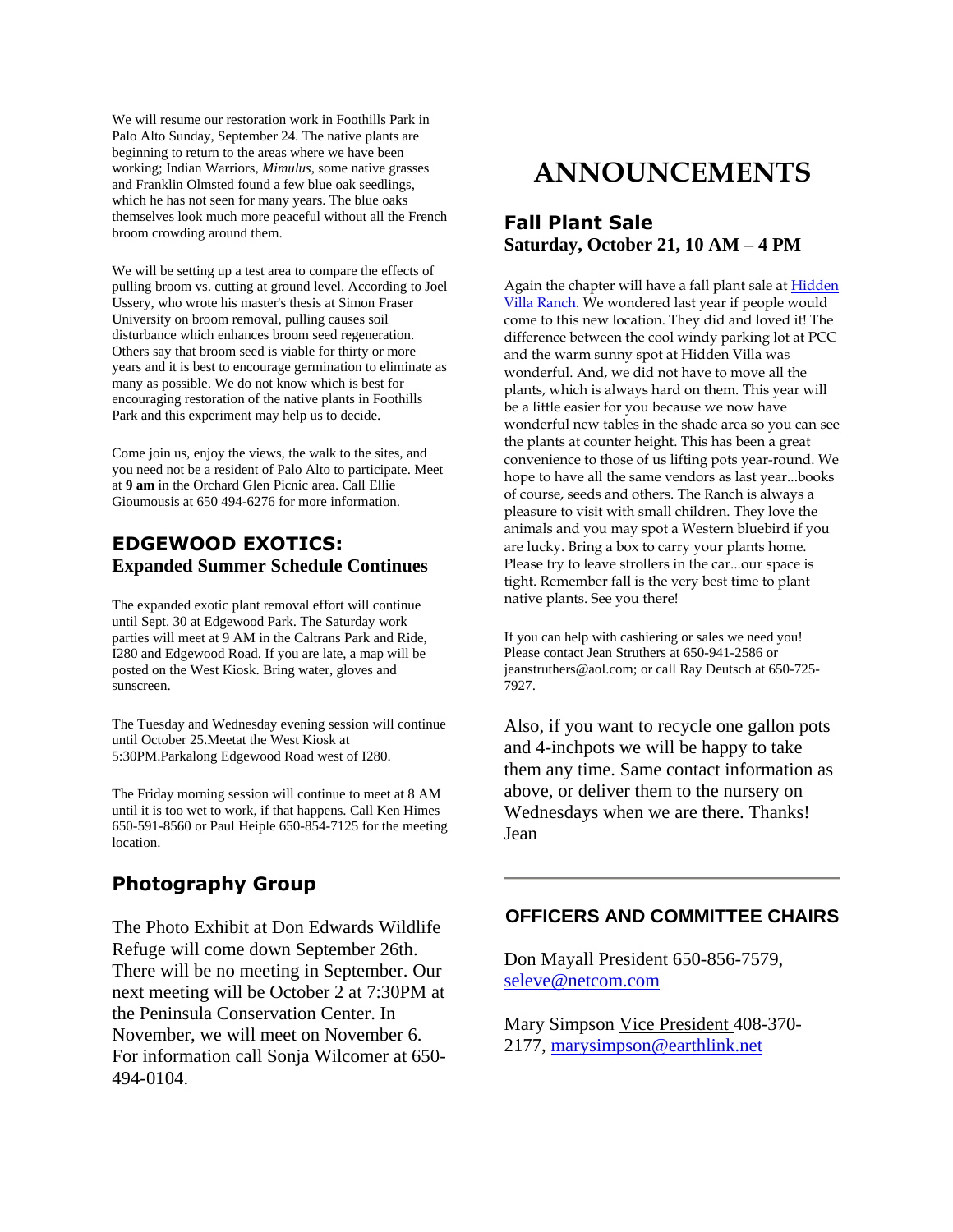We will resume our restoration work in Foothills Park in Palo Alto Sunday, September 24. The native plants are beginning to return to the areas where we have been working; Indian Warriors, *Mimulus*, some native grasses and Franklin Olmsted found a few blue oak seedlings, which he has not seen for many years. The blue oaks themselves look much more peaceful without all the French broom crowding around them.

We will be setting up a test area to compare the effects of pulling broom vs. cutting at ground level. According to Joel Ussery, who wrote his master's thesis at Simon Fraser University on broom removal, pulling causes soil disturbance which enhances broom seed regeneration. Others say that broom seed is viable for thirty or more years and it is best to encourage germination to eliminate as many as possible. We do not know which is best for encouraging restoration of the native plants in Foothills Park and this experiment may help us to decide.

Come join us, enjoy the views, the walk to the sites, and you need not be a resident of Palo Alto to participate. Meet at **9 am** in the Orchard Glen Picnic area. Call Ellie Gioumousis at 650 494-6276 for more information.

#### **EDGEWOOD EXOTICS: Expanded Summer Schedule Continues**

The expanded exotic plant removal effort will continue until Sept. 30 at Edgewood Park. The Saturday work parties will meet at 9 AM in the Caltrans Park and Ride, I280 and Edgewood Road. If you are late, a map will be posted on the West Kiosk. Bring water, gloves and sunscreen.

The Tuesday and Wednesday evening session will continue until October 25.Meetat the West Kiosk at 5:30PM.Parkalong Edgewood Road west of I280.

The Friday morning session will continue to meet at 8 AM until it is too wet to work, if that happens. Call Ken Himes 650-591-8560 or Paul Heiple 650-854-7125 for the meeting location.

#### **Photography Group**

The Photo Exhibit at Don Edwards Wildlife Refuge will come down September 26th. There will be no meeting in September. Our next meeting will be October 2 at 7:30PM at the Peninsula Conservation Center. In November, we will meet on November 6. For information call Sonja Wilcomer at 650- 494-0104.

# **ANNOUNCEMENTS**

#### **Fall Plant Sale Saturday, October 21, 10 AM – 4 PM**

Again the chapter will have a fall plant sale at [Hidden](http://www.hiddenvilla.org/Assets/contacts.htm)  Villa [Ranch.](http://www.hiddenvilla.org/Assets/contacts.htm) We wondered last year if people would come to this new location. They did and loved it! The difference between the cool windy parking lot at PCC and the warm sunny spot at Hidden Villa was wonderful. And, we did not have to move all the plants, which is always hard on them. This year will be a little easier for you because we now have wonderful new tables in the shade area so you can see the plants at counter height. This has been a great convenience to those of us lifting pots year-round. We hope to have all the same vendors as last year...books of course, seeds and others. The Ranch is always a pleasure to visit with small children. They love the animals and you may spot a Western bluebird if you are lucky. Bring a box to carry your plants home. Please try to leave strollers in the car...our space is tight. Remember fall is the very best time to plant native plants. See you there!

If you can help with cashiering or sales we need you! Please contact Jean Struthers at 650-941-2586 or jeanstruthers@aol.com; or call Ray Deutsch at 650-725- 7927.

Also, if you want to recycle one gallon pots and 4-inchpots we will be happy to take them any time. Same contact information as above, or deliver them to the nursery on Wednesdays when we are there. Thanks! Jean

#### **OFFICERS AND COMMITTEE CHAIRS**

Don Mayall President 650-856-7579, [seleve@netcom.com](mailto:seleve@netcom.com)

Mary Simpson Vice President 408-370- 2177, [marysimpson@earthlink.net](mailto:marysimpson@earthlink)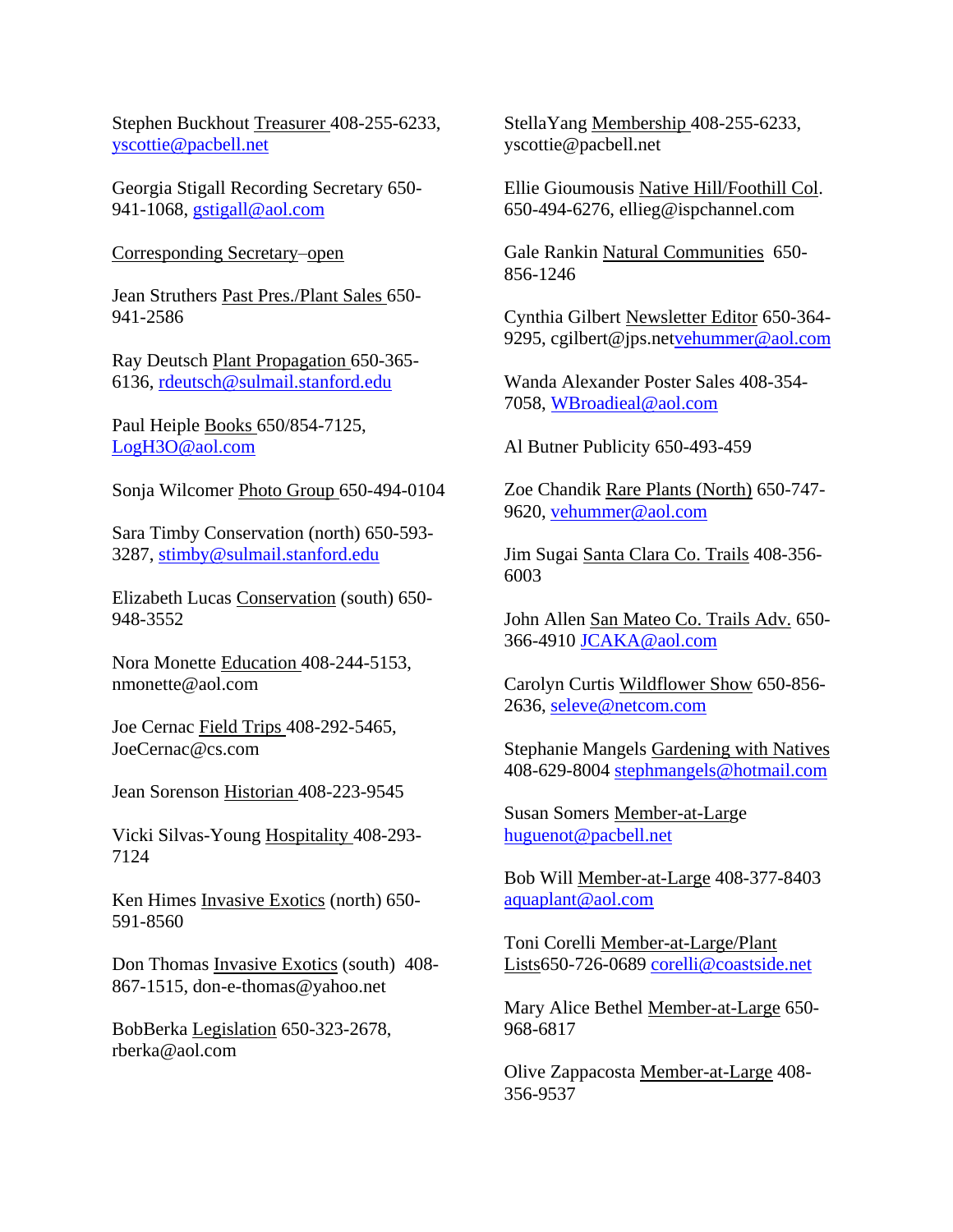Stephen Buckhout Treasurer 408-255-6233, [yscottie@pacbell.net](mailto:yscottie@pacbell.net)

Georgia Stigall Recording Secretary 650 941-1068, [gstigall@aol.com](mailto:gstigall@aol.com)

Corresponding Secretary–open

Jean Struthers Past Pres./Plant Sales 650- 941-2586

Ray Deutsch Plant Propagation 650-365- 6136, [rdeutsch@sulmail.stanford.edu](mailto:rdeutsch@sulmail.stanford.edu)

Paul Heiple Books 650/854-7125, [LogH3O@aol.com](mailto:gstigall@aol.com)

Sonja Wilcomer Photo Group 650-494-0104

Sara Timby Conservation (north) 650-593- 3287, [stimby@sulmail.stanford.edu](mailto:stimby@sulmail.stanford.edu) 

Elizabeth Lucas Conservation (south) 650- 948-3552

Nora Monette Education 408-244-5153, nmonette@aol.com

Joe Cernac Field Trips 408-292-5465, JoeCernac@cs.com

Jean Sorenson Historian 408-223-9545

Vicki Silvas-Young Hospitality 408-293- 7124

Ken Himes Invasive Exotics (north) 650- 591-8560

Don Thomas Invasive Exotics (south) 408- 867-1515, don-e-thomas@yahoo.net

BobBerka Legislation 650-323-2678, rberka@aol.com

StellaYang Membership 408-255-6233, yscottie@pacbell.net

Ellie Gioumousis Native Hill/Foothill Col. 650-494-6276, ellieg@ispchannel.com

Gale Rankin Natural Communities 650- 856-1246

Cynthia Gilbert Newsletter Editor 650-364 9295, cgilbert@jps.ne[tvehummer@aol.com](mailto:vehummer@aol.com)

Wanda Alexander Poster Sales 408-354- 7058, [WBroadieal@aol.com](mailto:WBroadieal@aol.com)

Al Butner Publicity 650-493-459

Zoe Chandik Rare Plants (North) 650-747- 9620, [vehummer@aol.com](mailto:vehummer@aol.com)

Jim Sugai Santa Clara Co. Trails 408-356- 6003

John Allen San Mateo Co. Trails Adv. 650- 366-4910 **JCAKA@aol.com** 

Carolyn Curtis Wildflower Show 650-856- 2636, [seleve@netcom.com](mailto:seleve@netcom.com)

Stephanie Mangels Gardening with Natives 408-629-8004 [stephmangels@hotmail.com](mailto:stephmangels@hotmail.com)

Susan Somers Member-at-Large [huguenot@pacbell.net](mailto:huguenot@pacbell.net)

Bob Will Member-at-Large 408-377-8403 [aquaplant@aol.com](mailto:aquaplant@aol.com)

Toni Corelli Member-at-Large/Plant Lists650-726-0689 [corelli@coastside.net](mailto:corelli@coastside.net)

Mary Alice Bethel Member-at-Large 650- 968-6817

Olive Zappacosta Member-at-Large 408- 356-9537